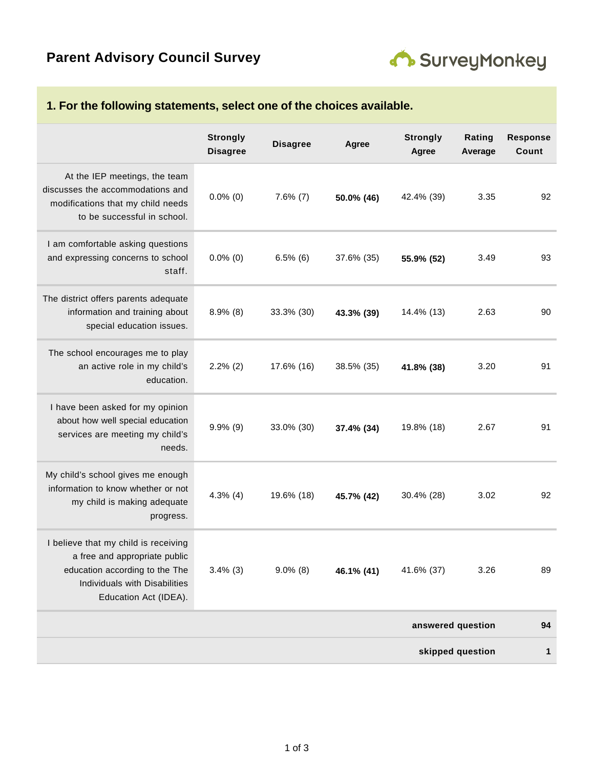

## **1. For the following statements, select one of the choices available.**

|                                                                                                                                                                   | <b>Strongly</b><br><b>Disagree</b> | <b>Disagree</b> | Agree      | <b>Strongly</b><br>Agree | Rating<br>Average | <b>Response</b><br>Count |
|-------------------------------------------------------------------------------------------------------------------------------------------------------------------|------------------------------------|-----------------|------------|--------------------------|-------------------|--------------------------|
| At the IEP meetings, the team<br>discusses the accommodations and<br>modifications that my child needs<br>to be successful in school.                             | $0.0\%$ (0)                        | $7.6\%$ (7)     | 50.0% (46) | 42.4% (39)               | 3.35              | 92                       |
| I am comfortable asking questions<br>and expressing concerns to school<br>staff.                                                                                  | $0.0\%$ (0)                        | $6.5\%$ (6)     | 37.6% (35) | 55.9% (52)               | 3.49              | 93                       |
| The district offers parents adequate<br>information and training about<br>special education issues.                                                               | $8.9\%$ (8)                        | 33.3% (30)      | 43.3% (39) | 14.4% (13)               | 2.63              | 90                       |
| The school encourages me to play<br>an active role in my child's<br>education.                                                                                    | $2.2\%$ (2)                        | 17.6% (16)      | 38.5% (35) | 41.8% (38)               | 3.20              | 91                       |
| I have been asked for my opinion<br>about how well special education<br>services are meeting my child's<br>needs.                                                 | $9.9\%$ (9)                        | 33.0% (30)      | 37.4% (34) | 19.8% (18)               | 2.67              | 91                       |
| My child's school gives me enough<br>information to know whether or not<br>my child is making adequate<br>progress.                                               | $4.3\%$ (4)                        | 19.6% (18)      | 45.7% (42) | 30.4% (28)               | 3.02              | 92                       |
| I believe that my child is receiving<br>a free and appropriate public<br>education according to the The<br>Individuals with Disabilities<br>Education Act (IDEA). | $3.4\%$ (3)                        | $9.0\%$ (8)     | 46.1% (41) | 41.6% (37)               | 3.26              | 89                       |
|                                                                                                                                                                   | answered question                  |                 |            |                          |                   | 94                       |
| skipped question                                                                                                                                                  |                                    |                 |            |                          | $\mathbf{1}$      |                          |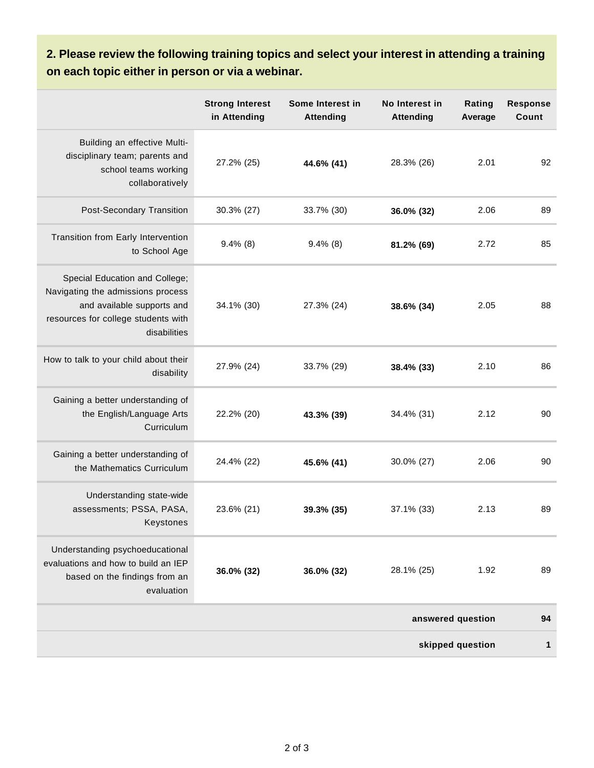**2. Please review the following training topics and select your interest in attending a training on each topic either in person or via a webinar.**

|                                                                                                                                                          | <b>Strong Interest</b><br>in Attending | Some Interest in<br><b>Attending</b> | No Interest in<br><b>Attending</b> | Rating<br>Average | <b>Response</b><br>Count |
|----------------------------------------------------------------------------------------------------------------------------------------------------------|----------------------------------------|--------------------------------------|------------------------------------|-------------------|--------------------------|
| Building an effective Multi-<br>disciplinary team; parents and<br>school teams working<br>collaboratively                                                | 27.2% (25)                             | 44.6% (41)                           | 28.3% (26)                         | 2.01              | 92                       |
| Post-Secondary Transition                                                                                                                                | 30.3% (27)                             | 33.7% (30)                           | 36.0% (32)                         | 2.06              | 89                       |
| Transition from Early Intervention<br>to School Age                                                                                                      | $9.4\%$ (8)                            | $9.4\%$ (8)                          | 81.2% (69)                         | 2.72              | 85                       |
| Special Education and College;<br>Navigating the admissions process<br>and available supports and<br>resources for college students with<br>disabilities | 34.1% (30)                             | 27.3% (24)                           | 38.6% (34)                         | 2.05              | 88                       |
| How to talk to your child about their<br>disability                                                                                                      | 27.9% (24)                             | 33.7% (29)                           | 38.4% (33)                         | 2.10              | 86                       |
| Gaining a better understanding of<br>the English/Language Arts<br>Curriculum                                                                             | 22.2% (20)                             | 43.3% (39)                           | 34.4% (31)                         | 2.12              | 90                       |
| Gaining a better understanding of<br>the Mathematics Curriculum                                                                                          | 24.4% (22)                             | 45.6% (41)                           | 30.0% (27)                         | 2.06              | 90                       |
| Understanding state-wide<br>assessments; PSSA, PASA,<br>Keystones                                                                                        | 23.6% (21)                             | 39.3% (35)                           | 37.1% (33)                         | 2.13              | 89                       |
| Understanding psychoeducational<br>evaluations and how to build an IEP<br>based on the findings from an<br>evaluation                                    | 36.0% (32)                             | 36.0% (32)                           | 28.1% (25)                         | 1.92              | 89                       |
|                                                                                                                                                          | answered question                      |                                      |                                    |                   |                          |
| skipped question                                                                                                                                         |                                        |                                      |                                    |                   | 1                        |